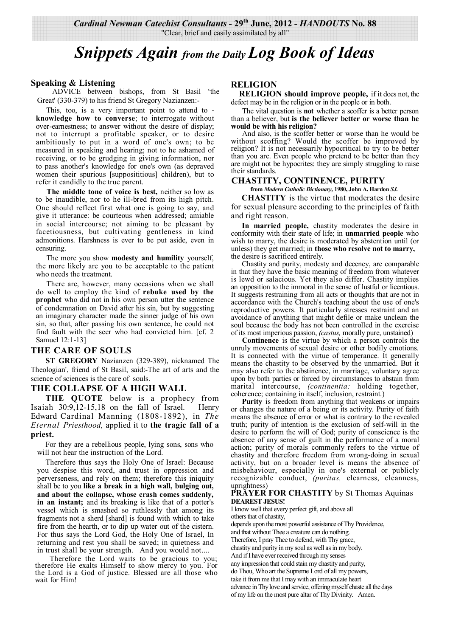*Cardinal Newman Catechist Consultants* **- 29th June, 2012 -** *HANDOUTS* **No. 88**  "Clear, brief and easily assimilated by all"

# *Snippets Again from the Daily Log Book of Ideas*

#### **Speaking & Listening**

 ADVICE between bishops, from St Basil 'the Great' (330-379) to his friend St Gregory Nazianzen:-

This, too, is a very important point to attend to **knowledge how to converse**; to interrogate without over-earnestness; to answer without the desire of display; not to interrupt a profitable speaker, or to desire ambitiously to put in a word of one's own; to be measured in speaking and hearing; not to he ashamed of receiving, or to be grudging in giving information, nor to pass another's knowledge for one's own (as depraved women their spurious [supposititious] children), but to refer it candidly to the true parent.

**The middle tone of voice is best,** neither so low as to be inaudible, nor to he ill-bred from its high pitch. One should reflect first what one is going to say, and give it utterance: be courteous when addressed; amiable in social intercourse; not aiming to be pleasant by facetiousness, but cultivating gentleness in kind admonitions. Harshness is ever to be put aside, even in censuring.

The more you show **modesty and humility** yourself, the more likely are you to be acceptable to the patient who needs the treatment.

There are, however, many occasions when we shall do well to employ the kind of **rebuke used by the prophet** who did not in his own person utter the sentence of condemnation on David after his sin, but by suggesting an imaginary character made the sinner judge of his own sin, so that, after passing his own sentence, he could not find fault with the seer who had convicted him. [cf. 2 Samuel 12:1-13]

# **THE CARE OF SOULS**

**ST GREGORY** Nazianzen (329-389), nicknamed The Theologian', friend of St Basil, said:-The art of arts and the science of sciences is the care of souls.

#### **THE COLLAPSE OF A HIGH WALL**

**THE QUOTE** below is a prophecy from Isaiah 30:9,12-15,18 on the fall of Israel. Henry Edward Cardinal Manning (1808-1892), in *The Eternal Priesthood,* applied it to **the tragic fall of a priest.**

For they are a rebellious people, lying sons, sons who will not hear the instruction of the Lord.

Therefore thus says the Holy One of Israel: Because you despise this word, and trust in oppression and perverseness, and rely on them; therefore this iniquity shall be to you **like a break in a high wall, bulging out, and about the collapse, whose crash comes suddenly, in an instant;** and its breaking is like that of a potter's vessel which is smashed so ruthlessly that among its fragments not a sherd [shard] is found with which to take fire from the hearth, or to dip up water out of the cistern. For thus says the Lord God, the Holy One of Israel, In returning and rest you shall be saved; in quietness and in trust shall be your strength. And you would not....

Therefore the Lord waits to be gracious to you; therefore He exalts Himself to show mercy to you. For the Lord is a God of justice. Blessed are all those who wait for Him!

#### **RELIGION**

**RELIGION should improve people,** if it does not, the defect may be in the religion or in the people or in both.

The vital question is **not** whether a scoffer is a better person than a believer, but **is the believer better or worse than he would be with his religion?**

And also, is the scoffer better or worse than he would be without scoffing? Would the scoffer be improved by religion? It is not necessarily hypocritical to try to be better than you are. Even people who pretend to be better than they are might not be hypocrites: they are simply struggling to raise their standards.

### **CHASTITY, CONTINENCE, PURITY**

**from** *Modern Catholic Dictionary,* **1980, John A. Hardon** *SJ.*

**CHASTITY** is the virtue that moderates the desire for sexual pleasure according to the principles of faith and right reason.

**In married people,** chastity moderates the desire in conformity with their state of life; in **unmarried people** who wish to marry, the desire is moderated by abstention until (or unless) they get married; in **those who resolve not to marry,** the desire is sacrificed entirely.

Chastity and purity, modesty and decency, are comparable in that they have the basic meaning of freedom from whatever is lewd or salacious. Yet they also differ. Chastity implies an opposition to the immoral in the sense of lustful or licentious. It suggests restraining from all acts or thoughts that are not in accordance with the Church's teaching about the use of one's reproductive powers. It particularly stresses restraint and an avoidance of anything that might defile or make unclean the soul because the body has not been controlled in the exercise of its most imperious passion, *(castus,* morally pure, unstained)

**Continence** is the virtue by which a person controls the unruly movements of sexual desire or other bodily emotions. It is connected with the virtue of temperance. It generally means the chastity to be observed by the unmarried. But it may also refer to the abstinence, in marriage, voluntary agree upon by both parties or forced by circumstances to abstain from marital intercourse, *(continentia:* holding together, coherence; containing in itself, inclusion, restraint.)

**Purity** is freedom from anything that weakens or impairs or changes the nature of a being or its activity. Purity of faith means the absence of error or what is contrary to the revealed truth; purity of intention is the exclusion of self-will in the desire to perform the will of God; purity of conscience is the absence of any sense of guilt in the performance of a moral action; purity of morals commonly refers to the virtue of chastity and therefore freedom from wrong-doing in sexual activity, but on a broader level is means the absence of misbehaviour, especially in one's external or publicly recognizable conduct, *(puritas, clearness, cleanness,* uprightness)

#### **PRAYER FOR CHASTITY** by St Thomas Aquinas **DEAREST JESUS!**

I know well that every perfect gift, and above all

others that of chastity, depends upon the most powerful assistance of Thy Providence, and that without Thee a creature can do nothing. Therefore, I pray Thee to defend, with Thy grace, chastity and purity in my soul as well as in my body. And if I have ever received through my senses any impression that could stain my chastity and purity, do Thou, Who art the Supreme Lord of all my powers, take it from me that I may with an immaculate heart advance in Thy love and service, offering myself chaste all the days

of my life on the most pure altar of Thy Divinity. Amen.